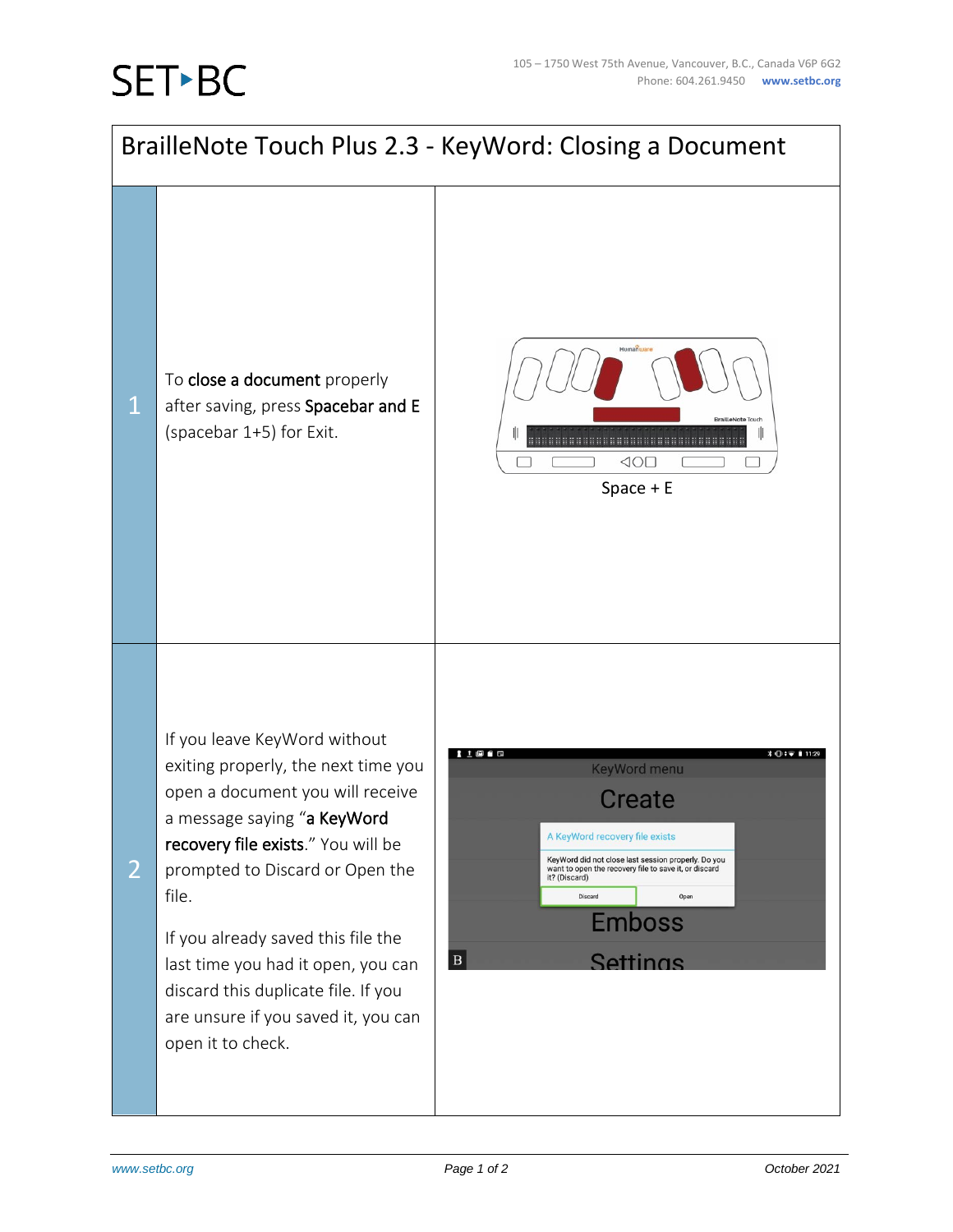## **SET-BC**